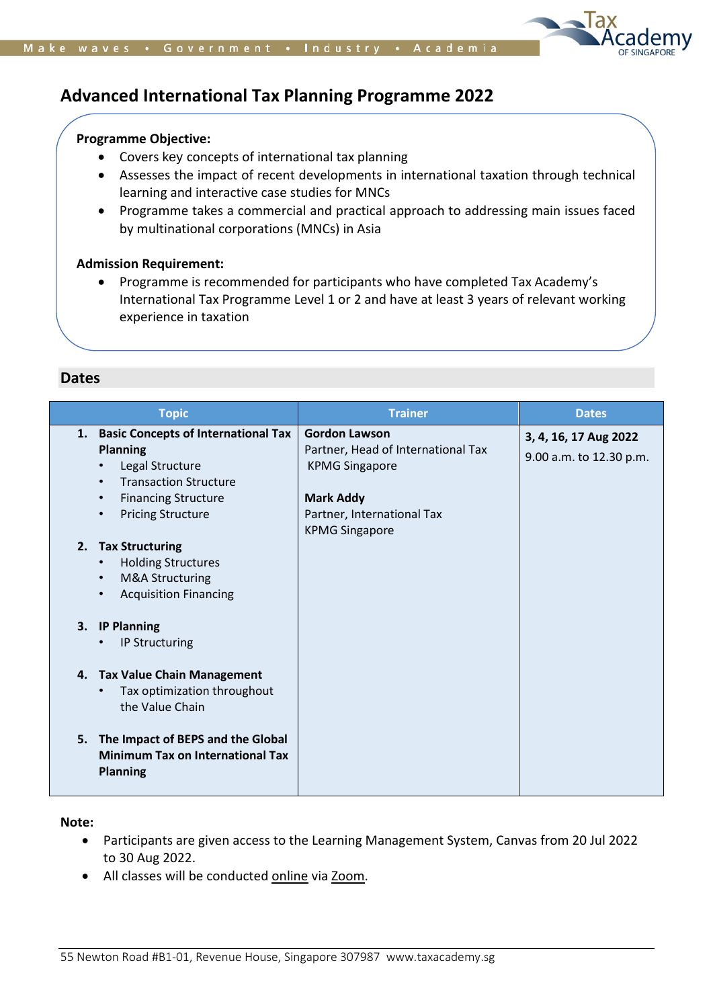

# **Advanced International Tax Planning Programme 2022**

# **Programme Objective:**

- Covers key concepts of international tax planning
- Assesses the impact of recent developments in international taxation through technical learning and interactive case studies for MNCs
- Programme takes a commercial and practical approach to addressing main issues faced by multinational corporations (MNCs) in Asia

#### **Admission Requirement:**

• Programme is recommended for participants who have completed Tax Academy's International Tax Programme Level 1 or 2 and have at least 3 years of relevant working experience in taxation

# **Dates**

| <b>Topic</b>                                                                                                                                                                                     | <b>Trainer</b>                                                                                                                        | <b>Dates</b>                                     |
|--------------------------------------------------------------------------------------------------------------------------------------------------------------------------------------------------|---------------------------------------------------------------------------------------------------------------------------------------|--------------------------------------------------|
| 1. Basic Concepts of International Tax<br><b>Planning</b><br>Legal Structure<br><b>Transaction Structure</b><br><b>Financing Structure</b><br>$\bullet$<br><b>Pricing Structure</b><br>$\bullet$ | <b>Gordon Lawson</b><br>Partner, Head of International Tax<br><b>KPMG Singapore</b><br><b>Mark Addy</b><br>Partner, International Tax | 3, 4, 16, 17 Aug 2022<br>9.00 a.m. to 12.30 p.m. |
| <b>Tax Structuring</b><br>2.<br><b>Holding Structures</b><br>M&A Structuring<br><b>Acquisition Financing</b><br><b>IP Planning</b><br>3.                                                         | <b>KPMG Singapore</b>                                                                                                                 |                                                  |
| <b>IP Structuring</b><br>4. Tax Value Chain Management<br>Tax optimization throughout<br>the Value Chain                                                                                         |                                                                                                                                       |                                                  |
| 5. The Impact of BEPS and the Global<br><b>Minimum Tax on International Tax</b><br><b>Planning</b>                                                                                               |                                                                                                                                       |                                                  |

**Note:** 

- Participants are given access to the Learning Management System, Canvas from 20 Jul 2022 to 30 Aug 2022.
- All classes will be conducted online via Zoom.